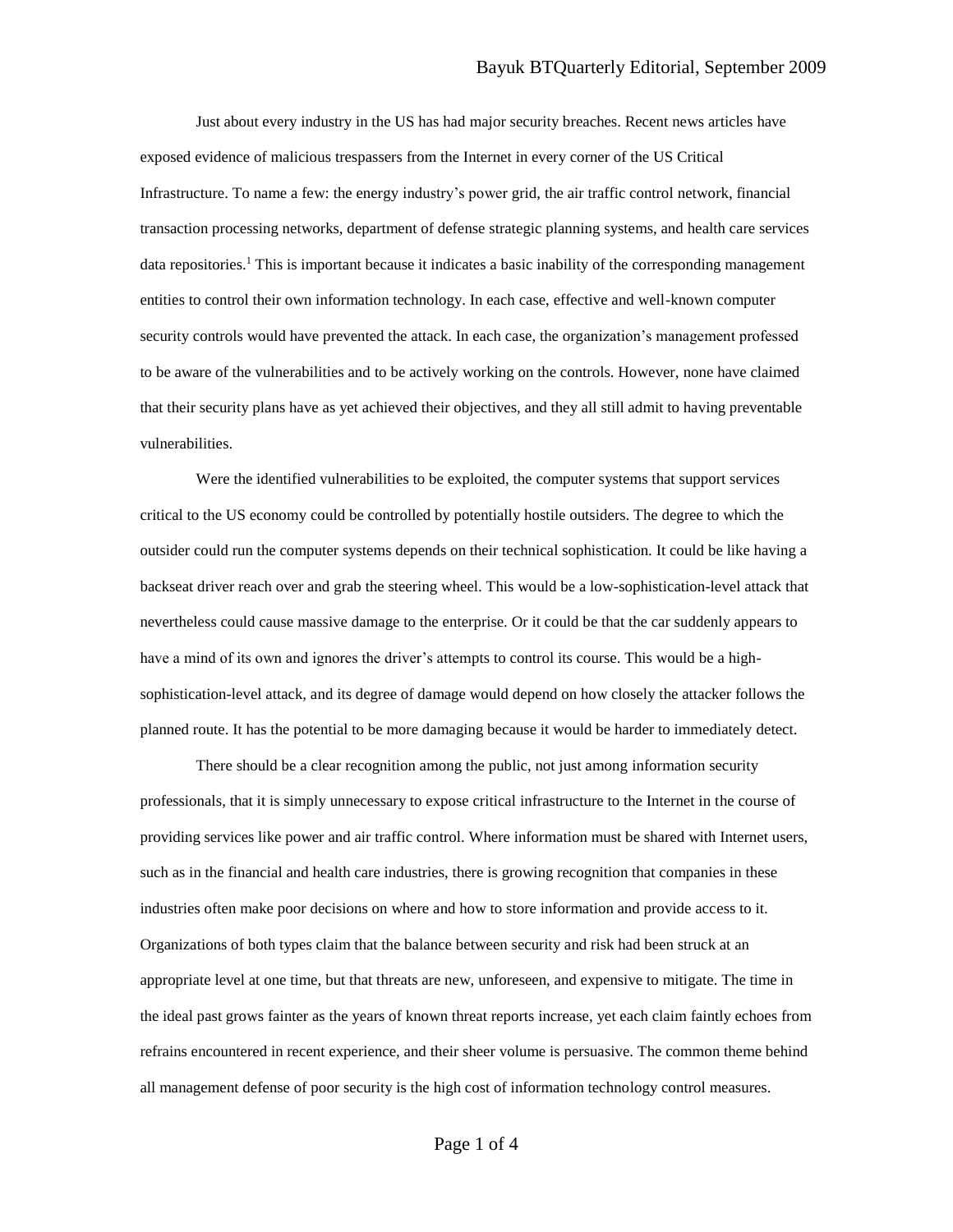Just about every industry in the US has had major security breaches. Recent news articles have exposed evidence of malicious trespassers from the Internet in every corner of the US Critical Infrastructure. To name a few: the energy industry's power grid, the air traffic control network, financial transaction processing networks, department of defense strategic planning systems, and health care services data repositories.<sup>1</sup> This is important because it indicates a basic inability of the corresponding management entities to control their own information technology. In each case, effective and well-known computer security controls would have prevented the attack. In each case, the organization's management professed to be aware of the vulnerabilities and to be actively working on the controls. However, none have claimed that their security plans have as yet achieved their objectives, and they all still admit to having preventable vulnerabilities.

Were the identified vulnerabilities to be exploited, the computer systems that support services critical to the US economy could be controlled by potentially hostile outsiders. The degree to which the outsider could run the computer systems depends on their technical sophistication. It could be like having a backseat driver reach over and grab the steering wheel. This would be a low-sophistication-level attack that nevertheless could cause massive damage to the enterprise. Or it could be that the car suddenly appears to have a mind of its own and ignores the driver's attempts to control its course. This would be a highsophistication-level attack, and its degree of damage would depend on how closely the attacker follows the planned route. It has the potential to be more damaging because it would be harder to immediately detect.

There should be a clear recognition among the public, not just among information security professionals, that it is simply unnecessary to expose critical infrastructure to the Internet in the course of providing services like power and air traffic control. Where information must be shared with Internet users, such as in the financial and health care industries, there is growing recognition that companies in these industries often make poor decisions on where and how to store information and provide access to it. Organizations of both types claim that the balance between security and risk had been struck at an appropriate level at one time, but that threats are new, unforeseen, and expensive to mitigate. The time in the ideal past grows fainter as the years of known threat reports increase, yet each claim faintly echoes from refrains encountered in recent experience, and their sheer volume is persuasive. The common theme behind all management defense of poor security is the high cost of information technology control measures.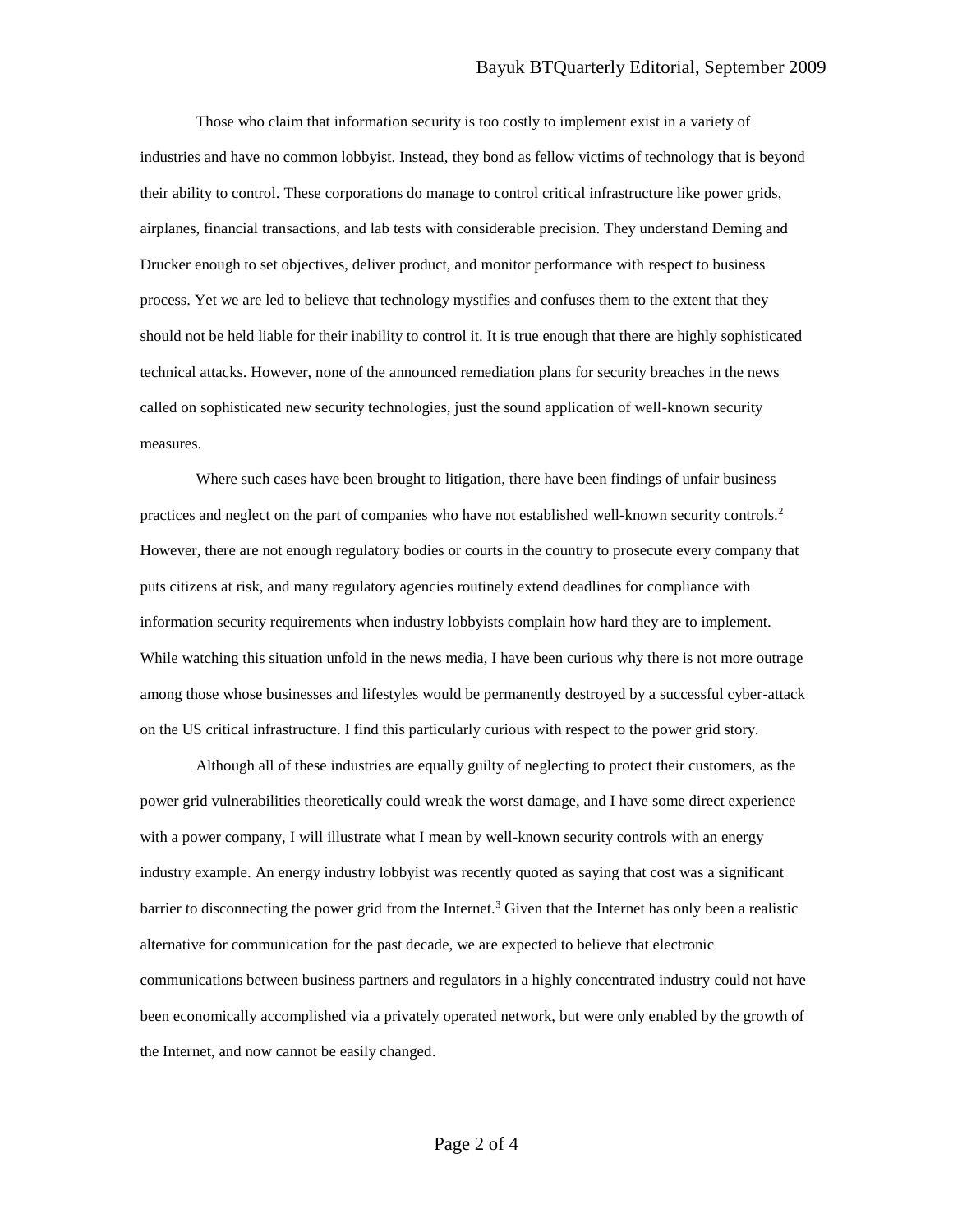Those who claim that information security is too costly to implement exist in a variety of industries and have no common lobbyist. Instead, they bond as fellow victims of technology that is beyond their ability to control. These corporations do manage to control critical infrastructure like power grids, airplanes, financial transactions, and lab tests with considerable precision. They understand Deming and Drucker enough to set objectives, deliver product, and monitor performance with respect to business process. Yet we are led to believe that technology mystifies and confuses them to the extent that they should not be held liable for their inability to control it. It is true enough that there are highly sophisticated technical attacks. However, none of the announced remediation plans for security breaches in the news called on sophisticated new security technologies, just the sound application of well-known security measures.

Where such cases have been brought to litigation, there have been findings of unfair business practices and neglect on the part of companies who have not established well-known security controls.<sup>2</sup> However, there are not enough regulatory bodies or courts in the country to prosecute every company that puts citizens at risk, and many regulatory agencies routinely extend deadlines for compliance with information security requirements when industry lobbyists complain how hard they are to implement. While watching this situation unfold in the news media, I have been curious why there is not more outrage among those whose businesses and lifestyles would be permanently destroyed by a successful cyber-attack on the US critical infrastructure. I find this particularly curious with respect to the power grid story.

Although all of these industries are equally guilty of neglecting to protect their customers, as the power grid vulnerabilities theoretically could wreak the worst damage, and I have some direct experience with a power company, I will illustrate what I mean by well-known security controls with an energy industry example. An energy industry lobbyist was recently quoted as saying that cost was a significant barrier to disconnecting the power grid from the Internet.<sup>3</sup> Given that the Internet has only been a realistic alternative for communication for the past decade, we are expected to believe that electronic communications between business partners and regulators in a highly concentrated industry could not have been economically accomplished via a privately operated network, but were only enabled by the growth of the Internet, and now cannot be easily changed.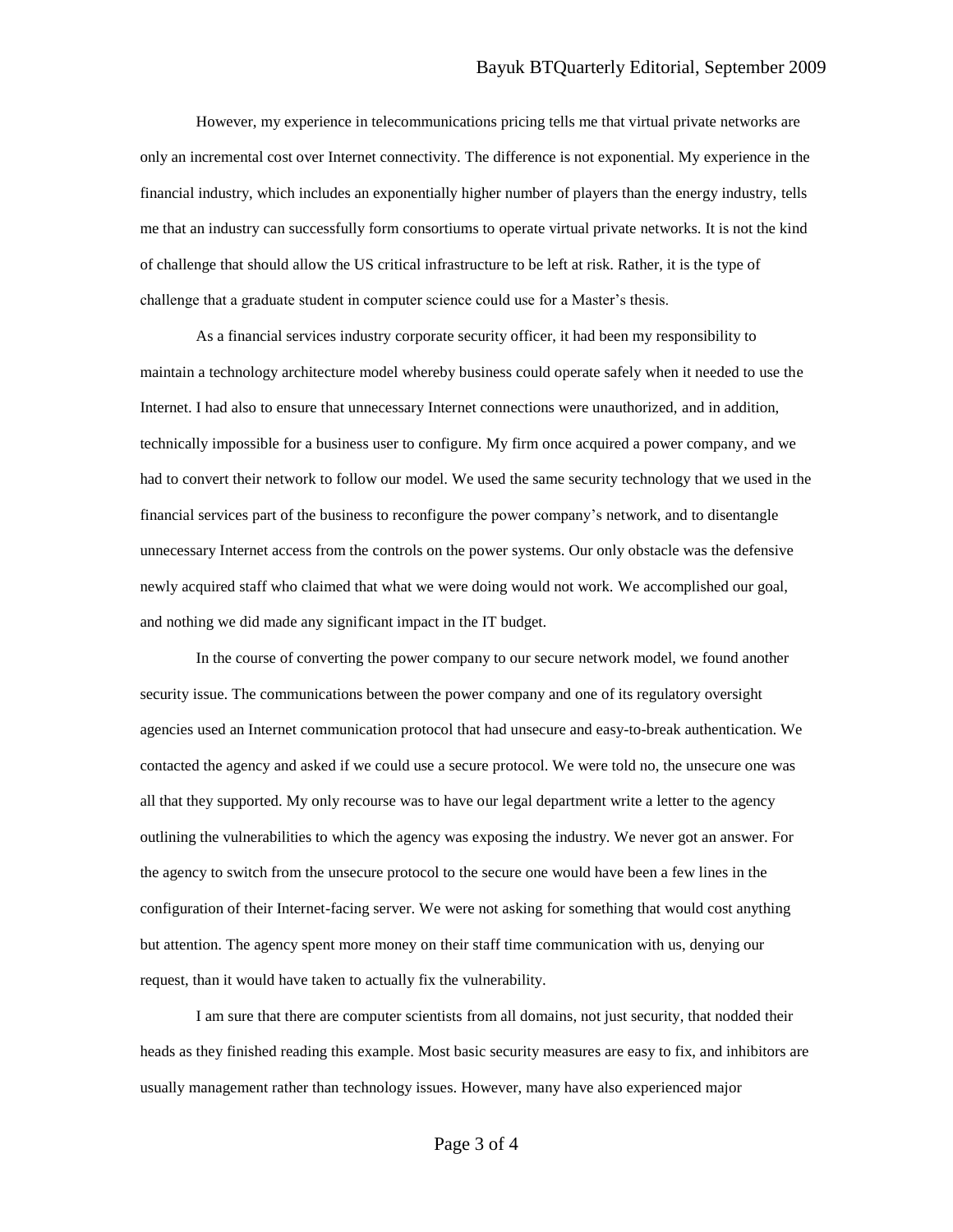However, my experience in telecommunications pricing tells me that virtual private networks are only an incremental cost over Internet connectivity. The difference is not exponential. My experience in the financial industry, which includes an exponentially higher number of players than the energy industry, tells me that an industry can successfully form consortiums to operate virtual private networks. It is not the kind of challenge that should allow the US critical infrastructure to be left at risk. Rather, it is the type of challenge that a graduate student in computer science could use for a Master's thesis.

As a financial services industry corporate security officer, it had been my responsibility to maintain a technology architecture model whereby business could operate safely when it needed to use the Internet. I had also to ensure that unnecessary Internet connections were unauthorized, and in addition, technically impossible for a business user to configure. My firm once acquired a power company, and we had to convert their network to follow our model. We used the same security technology that we used in the financial services part of the business to reconfigure the power company's network, and to disentangle unnecessary Internet access from the controls on the power systems. Our only obstacle was the defensive newly acquired staff who claimed that what we were doing would not work. We accomplished our goal, and nothing we did made any significant impact in the IT budget.

In the course of converting the power company to our secure network model, we found another security issue. The communications between the power company and one of its regulatory oversight agencies used an Internet communication protocol that had unsecure and easy-to-break authentication. We contacted the agency and asked if we could use a secure protocol. We were told no, the unsecure one was all that they supported. My only recourse was to have our legal department write a letter to the agency outlining the vulnerabilities to which the agency was exposing the industry. We never got an answer. For the agency to switch from the unsecure protocol to the secure one would have been a few lines in the configuration of their Internet-facing server. We were not asking for something that would cost anything but attention. The agency spent more money on their staff time communication with us, denying our request, than it would have taken to actually fix the vulnerability.

I am sure that there are computer scientists from all domains, not just security, that nodded their heads as they finished reading this example. Most basic security measures are easy to fix, and inhibitors are usually management rather than technology issues. However, many have also experienced major